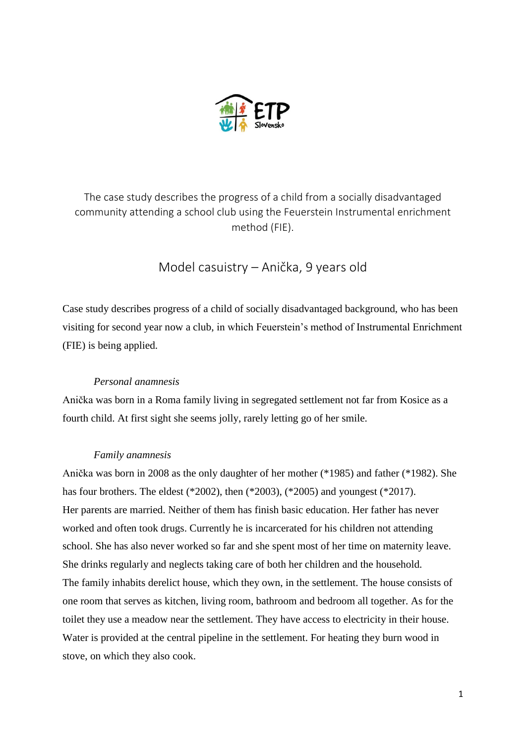

The case study describes the progress of a child from a socially disadvantaged community attending a school club using the Feuerstein Instrumental enrichment method (FIE).

Model casuistry – Anička, 9 years old

Case study describes progress of a child of socially disadvantaged background, who has been visiting for second year now a club, in which Feuerstein's method of Instrumental Enrichment (FIE) is being applied.

# *Personal anamnesis*

Anička was born in a Roma family living in segregated settlement not far from Kosice as a fourth child. At first sight she seems jolly, rarely letting go of her smile.

# *Family anamnesis*

Anička was born in 2008 as the only daughter of her mother (\*1985) and father (\*1982). She has four brothers. The eldest (\*2002), then (\*2003), (\*2005) and youngest (\*2017). Her parents are married. Neither of them has finish basic education. Her father has never worked and often took drugs. Currently he is incarcerated for his children not attending school. She has also never worked so far and she spent most of her time on maternity leave. She drinks regularly and neglects taking care of both her children and the household. The family inhabits derelict house, which they own, in the settlement. The house consists of one room that serves as kitchen, living room, bathroom and bedroom all together. As for the toilet they use a meadow near the settlement. They have access to electricity in their house. Water is provided at the central pipeline in the settlement. For heating they burn wood in stove, on which they also cook.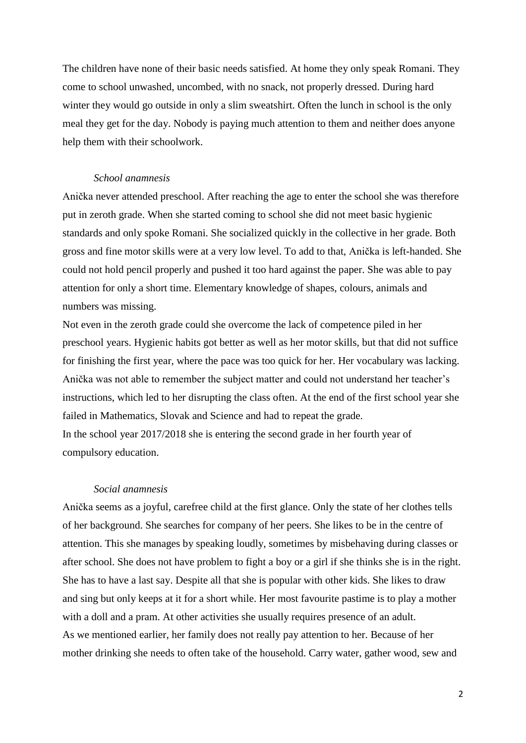The children have none of their basic needs satisfied. At home they only speak Romani. They come to school unwashed, uncombed, with no snack, not properly dressed. During hard winter they would go outside in only a slim sweatshirt. Often the lunch in school is the only meal they get for the day. Nobody is paying much attention to them and neither does anyone help them with their schoolwork.

### *School anamnesis*

Anička never attended preschool. After reaching the age to enter the school she was therefore put in zeroth grade. When she started coming to school she did not meet basic hygienic standards and only spoke Romani. She socialized quickly in the collective in her grade. Both gross and fine motor skills were at a very low level. To add to that, Anička is left-handed. She could not hold pencil properly and pushed it too hard against the paper. She was able to pay attention for only a short time. Elementary knowledge of shapes, colours, animals and numbers was missing.

Not even in the zeroth grade could she overcome the lack of competence piled in her preschool years. Hygienic habits got better as well as her motor skills, but that did not suffice for finishing the first year, where the pace was too quick for her. Her vocabulary was lacking. Anička was not able to remember the subject matter and could not understand her teacher's instructions, which led to her disrupting the class often. At the end of the first school year she failed in Mathematics, Slovak and Science and had to repeat the grade. In the school year 2017/2018 she is entering the second grade in her fourth year of compulsory education.

## *Social anamnesis*

Anička seems as a joyful, carefree child at the first glance. Only the state of her clothes tells of her background. She searches for company of her peers. She likes to be in the centre of attention. This she manages by speaking loudly, sometimes by misbehaving during classes or after school. She does not have problem to fight a boy or a girl if she thinks she is in the right. She has to have a last say. Despite all that she is popular with other kids. She likes to draw and sing but only keeps at it for a short while. Her most favourite pastime is to play a mother with a doll and a pram. At other activities she usually requires presence of an adult. As we mentioned earlier, her family does not really pay attention to her. Because of her mother drinking she needs to often take of the household. Carry water, gather wood, sew and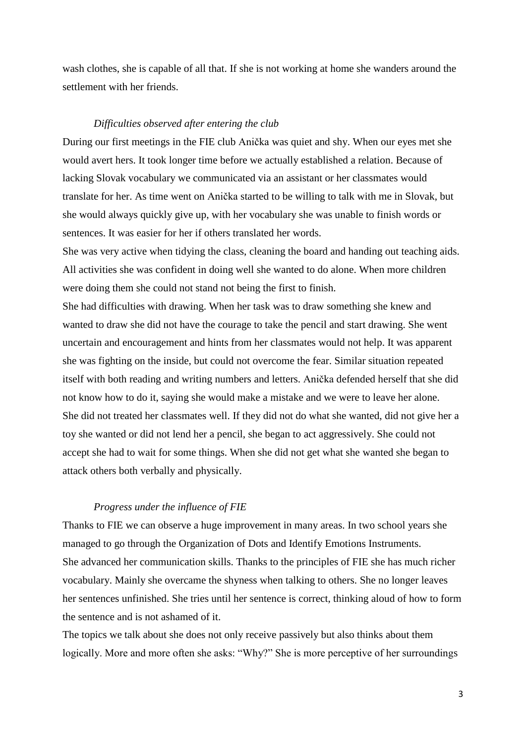wash clothes, she is capable of all that. If she is not working at home she wanders around the settlement with her friends.

### *Difficulties observed after entering the club*

During our first meetings in the FIE club Anička was quiet and shy. When our eyes met she would avert hers. It took longer time before we actually established a relation. Because of lacking Slovak vocabulary we communicated via an assistant or her classmates would translate for her. As time went on Anička started to be willing to talk with me in Slovak, but she would always quickly give up, with her vocabulary she was unable to finish words or sentences. It was easier for her if others translated her words.

She was very active when tidying the class, cleaning the board and handing out teaching aids. All activities she was confident in doing well she wanted to do alone. When more children were doing them she could not stand not being the first to finish.

She had difficulties with drawing. When her task was to draw something she knew and wanted to draw she did not have the courage to take the pencil and start drawing. She went uncertain and encouragement and hints from her classmates would not help. It was apparent she was fighting on the inside, but could not overcome the fear. Similar situation repeated itself with both reading and writing numbers and letters. Anička defended herself that she did not know how to do it, saying she would make a mistake and we were to leave her alone. She did not treated her classmates well. If they did not do what she wanted, did not give her a toy she wanted or did not lend her a pencil, she began to act aggressively. She could not accept she had to wait for some things. When she did not get what she wanted she began to attack others both verbally and physically.

## *Progress under the influence of FIE*

Thanks to FIE we can observe a huge improvement in many areas. In two school years she managed to go through the Organization of Dots and Identify Emotions Instruments. She advanced her communication skills. Thanks to the principles of FIE she has much richer vocabulary. Mainly she overcame the shyness when talking to others. She no longer leaves her sentences unfinished. She tries until her sentence is correct, thinking aloud of how to form the sentence and is not ashamed of it.

The topics we talk about she does not only receive passively but also thinks about them logically. More and more often she asks: "Why?" She is more perceptive of her surroundings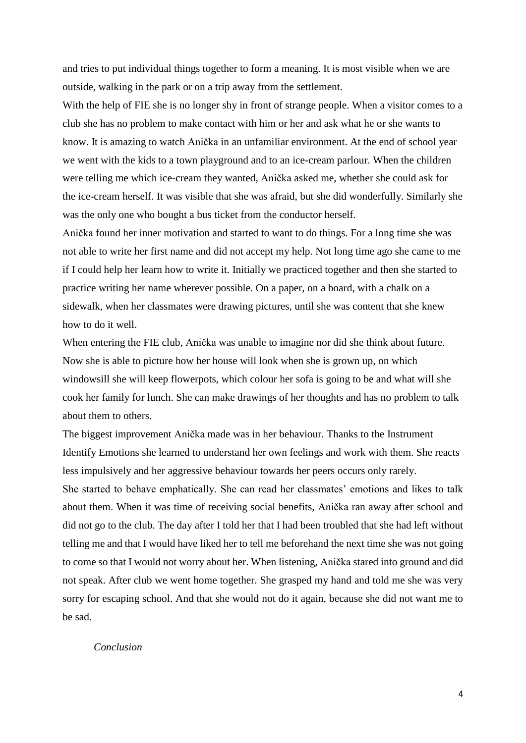and tries to put individual things together to form a meaning. It is most visible when we are outside, walking in the park or on a trip away from the settlement.

With the help of FIE she is no longer shy in front of strange people. When a visitor comes to a club she has no problem to make contact with him or her and ask what he or she wants to know. It is amazing to watch Anička in an unfamiliar environment. At the end of school year we went with the kids to a town playground and to an ice-cream parlour. When the children were telling me which ice-cream they wanted, Anička asked me, whether she could ask for the ice-cream herself. It was visible that she was afraid, but she did wonderfully. Similarly she was the only one who bought a bus ticket from the conductor herself.

Anička found her inner motivation and started to want to do things. For a long time she was not able to write her first name and did not accept my help. Not long time ago she came to me if I could help her learn how to write it. Initially we practiced together and then she started to practice writing her name wherever possible. On a paper, on a board, with a chalk on a sidewalk, when her classmates were drawing pictures, until she was content that she knew how to do it well.

When entering the FIE club, Anička was unable to imagine nor did she think about future. Now she is able to picture how her house will look when she is grown up, on which windowsill she will keep flowerpots, which colour her sofa is going to be and what will she cook her family for lunch. She can make drawings of her thoughts and has no problem to talk about them to others.

The biggest improvement Anička made was in her behaviour. Thanks to the Instrument Identify Emotions she learned to understand her own feelings and work with them. She reacts less impulsively and her aggressive behaviour towards her peers occurs only rarely. She started to behave emphatically. She can read her classmates' emotions and likes to talk about them. When it was time of receiving social benefits, Anička ran away after school and did not go to the club. The day after I told her that I had been troubled that she had left without telling me and that I would have liked her to tell me beforehand the next time she was not going to come so that I would not worry about her. When listening, Anička stared into ground and did not speak. After club we went home together. She grasped my hand and told me she was very sorry for escaping school. And that she would not do it again, because she did not want me to be sad.

### *Conclusion*